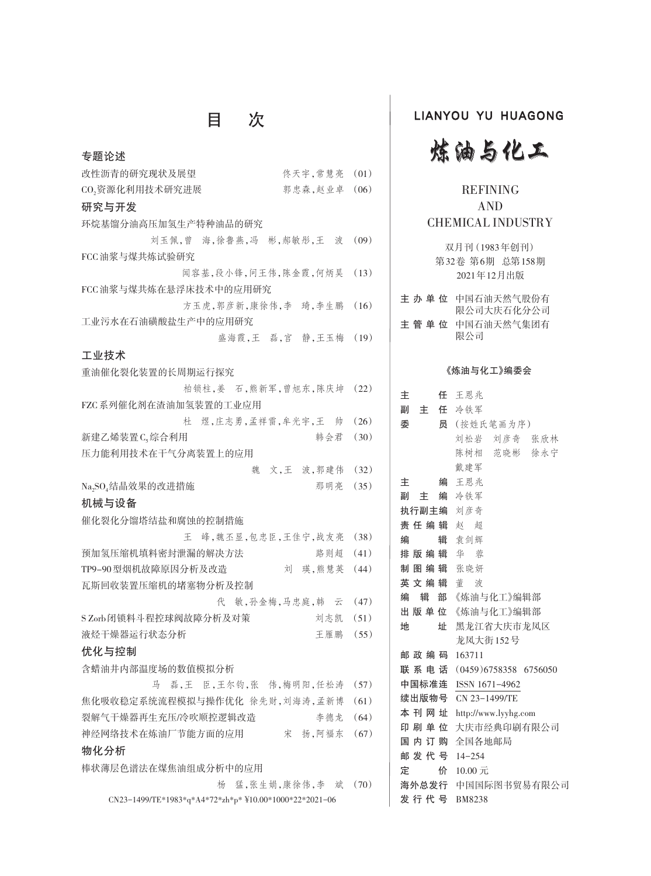# 目 次

| 专题论述                                                     |      |
|----------------------------------------------------------|------|
| 改性沥青的研究现状及展望<br>佟天宇,常慧亮                                  | (01) |
| 郭忠森,赵业卓<br>CO2资源化利用技术研究进展                                | (06) |
| 研究与开发                                                    |      |
| 环烷基馏分油高压加氢生产特种油品的研究                                      |      |
| 刘玉佩,曾 海,徐鲁燕,冯 彬,郝敏彤,王<br>波                               | (09) |
| FCC 油浆与煤共炼试验研究                                           |      |
| 闻容基,段小锋,问王伟,陈金霞,何炳昊                                      | (13) |
| FCC 油浆与煤共炼在悬浮床技术中的应用研究                                   |      |
| 方玉虎,郭彦新,康徐伟,李 琦,李生鹏                                      | (16) |
| 工业污水在石油磺酸盐生产中的应用研究                                       |      |
| 盛海霞,王 磊,宫 静,王玉梅                                          | (19) |
| 工业技术                                                     |      |
| 重油催化裂化装置的长周期运行探究                                         |      |
| 柏锁柱,姜 石,熊新军,曾旭东,陈庆坤                                      | (22) |
| FZC系列催化剂在渣油加氢装置的工业应用                                     |      |
| 杜 煜,庄志勇,孟祥雷,牟光宇,王 帅                                      | (26) |
| 新建乙烯装置C,综合利用<br>韩会君                                      | (30) |
| 压力能利用技术在干气分离装置上的应用                                       |      |
| 文,王 波,郭建伟<br>魏                                           | (32) |
| Na <sub>2</sub> SO <sub>4</sub> 结晶效果的改进措施<br>那明亮         | (35) |
| 机械与设备                                                    |      |
| 催化裂化分馏塔结盐和腐蚀的控制措施                                        |      |
| 峰,魏丕显,包忠臣,王佳宁,战友亮<br>王                                   | (38) |
| 预加氢压缩机填料密封泄漏的解决方法<br>路则超                                 | (41) |
| TP9-90型烟机故障原因分析及改造<br>刘 瑛,熊慧英                            | (44) |
| 瓦斯回收装置压缩机的堵塞物分析及控制                                       |      |
| 敏,孙金梅,马忠庭,韩云<br>代                                        | (47) |
| SZorb闭锁料斗程控球阀故障分析及对策<br>刘志凯                              | (51) |
| 液烃干燥器运行状态分析<br>王雁鹏                                       | (55) |
| 优化与控制                                                    |      |
| 含蜡油井内部温度场的数值模拟分析                                         |      |
| 马 磊,王 臣,王尔钧,张 伟,梅明阳,任松涛                                  | (57) |
| 焦化吸收稳定系统流程模拟与操作优化 徐先财,刘海涛,孟新博                            | (61) |
| 裂解气干燥器再生充压/冷吹顺控逻辑改造<br>李德龙                               | (64) |
| 神经网络技术在炼油厂节能方面的应用 宋 扬,阿福东 (67)                           |      |
| 物化分析                                                     |      |
| 棒状薄层色谱法在煤焦油组成分析中的应用                                      |      |
| 杨 猛,张生娟,康徐伟,李 斌                                          | (70) |
| $CN23-1499/TE*1983*q*A4*72*zh*p* $10.00*1000*22*2021-06$ |      |

### LIANYOU YU HUAGONG



### REFINING AND CHEMICAL INDUSTRY

双月刊(1983年创刊) 第32卷 第6期 总第158期 2021年12月出版

| 主 办 单 位 中国石油天然气股份有<br>限公司大庆石化分公司 |
|----------------------------------|
| 主 管 单 位 中国石油天然气集团有<br>限公司        |

#### 《炼油与化工》编委会

| 主       | 任 王恩兆                      |
|---------|----------------------------|
|         | 副主任 冷铁军                    |
| 委       | 员 (按姓氏笔画为序)                |
|         | 刘松岩 刘彦奇 张欣林                |
|         | 陈树相 范晓彬 徐永宁                |
|         | 戴建军                        |
| 主       | 编 王恩兆                      |
|         | 副の主に 编を冷し しゃく 副き上に 编え 冷铁 军 |
|         | 执行副主编 刘彦奇                  |
|         | 责任编辑 赵 超                   |
| 编       | 辑 袁剑辉                      |
|         | 排 版 编 辑 华 蓉                |
|         | 制图编辑 张晓妍                   |
|         | 英文编辑 董波                    |
| 编       | 辑 部 《炼油与化工》编辑部             |
|         | 出版单位《炼油与化工》编辑部             |
| 地       | 址 黑龙江省大庆市龙凤区               |
|         | 龙凤大街152号                   |
|         | 邮政编码 163711                |
|         | 联系电话 (0459)6758358 6756050 |
|         | 中国标准连 ISSN 1671-4962       |
|         | 续出版物号 CN 23-1499/TE        |
| 本 刊 网 址 | http://www.lyyhg.com       |
| 印 刷 单 位 | 大庆市经典印刷有限公司                |
|         | 国 内 订 购 全国各地邮局             |
|         | 邮发代号 14-254                |
| 定       | 价 10.00元                   |
|         | 海外总发行 中国国际图书贸易有限公司         |
|         | 发行代号 BM8238                |
|         |                            |